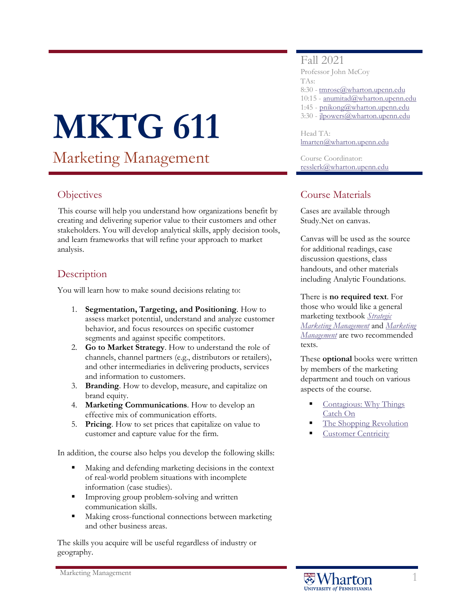# **MKTG 611**

Marketing Management

# **Objectives**

This course will help you understand how organizations benefit by creating and delivering superior value to their customers and other stakeholders. You will develop analytical skills, apply decision tools, and learn frameworks that will refine your approach to market analysis.

# **Description**

You will learn how to make sound decisions relating to:

- 1. **Segmentation, Targeting, and Positioning**. How to assess market potential, understand and analyze customer behavior, and focus resources on specific customer segments and against specific competitors.
- 2. **Go to Market Strategy**. How to understand the role of channels, channel partners (e.g., distributors or retailers), and other intermediaries in delivering products, services and information to customers.
- 3. **Branding**. How to develop, measure, and capitalize on brand equity.
- 4. **Marketing Communications**. How to develop an effective mix of communication efforts.
- 5. **Pricing**. How to set prices that capitalize on value to customer and capture value for the firm.

In addition, the course also helps you develop the following skills:

- Making and defending marketing decisions in the context of real-world problem situations with incomplete information (case studies).
- **Improving group problem-solving and written** communication skills.
- Making cross-functional connections between marketing and other business areas.

The skills you acquire will be useful regardless of industry or geography.

## Fall 2021

Professor John McCoy TAs: 8:30 - [tmrose@wharton.upenn.edu](mailto:tmrose@wharton.upenn.edu) 10:15 - [anumitad@wharton.upenn.edu](mailto:anumitad@wharton.upenn.edu) 1:45 - [pnikong@wharton.upenn.edu](mailto:pnikong@wharton.upenn.edu) 3:30 - [jlpowers@wharton.upenn.edu](mailto:jlpowers@wharton.upenn.edu)

Head TA: [lmarten@wharton.upenn.edu](mailto:lmarten@wharton.upenn.edu)

Course Coordinator: [resslerk@wharton.upenn.edu](mailto:resslerk@wharton.upenn.edu)

## Course Materials

Cases are available through Study.Net on canvas.

Canvas will be used as the source for additional readings, case discussion questions, class handouts, and other materials including Analytic Foundations.

There is **no required text**. For those who would like a general marketing textbook *[Strategic](http://www.amazon.com/exec/obidos/ASIN/1936572192/marketingbooksto)  [Marketing Management](http://www.amazon.com/exec/obidos/ASIN/1936572192/marketingbooksto)* and *[Marketing](https://www.amazon.com/Marketing-Management-15th-Philip-Kotler/dp/0133856461)  [Management](https://www.amazon.com/Marketing-Management-15th-Philip-Kotler/dp/0133856461)* are two recommended

texts.

These **optional** books were written by members of the marketing department and touch on various aspects of the course.

- [Contagious: Why Things](https://www.amazon.com/Contagious-Why-Things-Catch-On/dp/1451686579/ref=tmm_hrd_title_0)  [Catch On](https://www.amazon.com/Contagious-Why-Things-Catch-On/dp/1451686579/ref=tmm_hrd_title_0)
- [The Shopping Revolution](https://wdp.wharton.upenn.edu/book/shopping-revolution/)
- [Customer Centricity](https://wdp.wharton.upenn.edu/book/customer-centricity/?&utm_medium=referral&utm_source=fader-bio&utm_campaign=customer-centricity)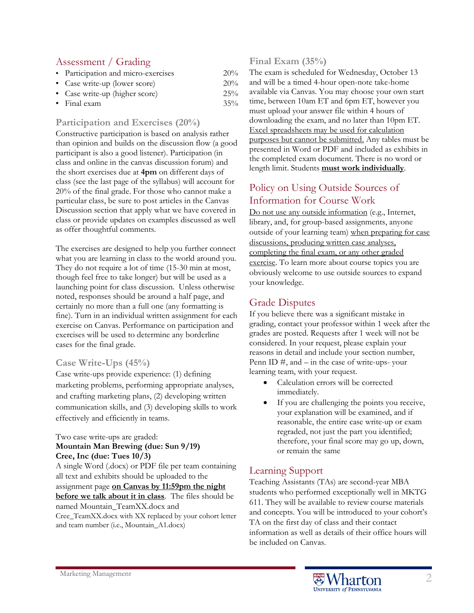## Assessment / Grading

| • Participation and micro-exercises | 20% |
|-------------------------------------|-----|
| • Case write-up (lower score)       | 20% |
| • Case write-up (higher score)      | 25% |

• Final exam  $35\%$ 

## **Participation and Exercises (20%)**

Constructive participation is based on analysis rather than opinion and builds on the discussion flow (a good participant is also a good listener). Participation (in class and online in the canvas discussion forum) and the short exercises due at **4pm** on different days of class (see the last page of the syllabus) will account for 20% of the final grade. For those who cannot make a particular class, be sure to post articles in the Canvas Discussion section that apply what we have covered in class or provide updates on examples discussed as well as offer thoughtful comments.

The exercises are designed to help you further connect what you are learning in class to the world around you. They do not require a lot of time (15-30 min at most, though feel free to take longer) but will be used as a launching point for class discussion. Unless otherwise noted, responses should be around a half page, and certainly no more than a full one (any formatting is fine). Turn in an individual written assignment for each exercise on Canvas. Performance on participation and exercises will be used to determine any borderline cases for the final grade.

### **Case Write-Ups (45%)**

Case write-ups provide experience: (1) defining marketing problems, performing appropriate analyses, and crafting marketing plans, (2) developing written communication skills, and (3) developing skills to work effectively and efficiently in teams.

#### Two case write-ups are graded:

#### **Mountain Man Brewing (due: Sun 9/19) Cree, Inc (due: Tues 10/3)**

A single Word (.docx) or PDF file per team containing all text and exhibits should be uploaded to the assignment page **on Canvas by 11:59pm the night before we talk about it in class**. The files should be named Mountain\_TeamXX.docx and Cree\_TeamXX.docx with XX replaced by your cohort letter and team number (i.e., Mountain\_A1.docx)

## **Final Exam (35%)**

The exam is scheduled for Wednesday, October 13 and will be a timed 4-hour open-note take-home available via Canvas. You may choose your own start time, between 10am ET and 6pm ET, however you must upload your answer file within 4 hours of downloading the exam, and no later than 10pm ET. Excel spreadsheets may be used for calculation purposes but cannot be submitted. Any tables must be presented in Word or PDF and included as exhibits in the completed exam document. There is no word or length limit. Students **must work individually**.

# Policy on Using Outside Sources of Information for Course Work

Do not use any outside information (e.g., Internet, library, and, for group-based assignments, anyone outside of your learning team) when preparing for case discussions, producing written case analyses, completing the final exam, or any other graded exercise. To learn more about course topics you are obviously welcome to use outside sources to expand your knowledge.

# Grade Disputes

If you believe there was a significant mistake in grading, contact your professor within 1 week after the grades are posted. Requests after 1 week will not be considered. In your request, please explain your reasons in detail and include your section number, Penn ID  $\#$ , and  $-$  in the case of write-ups- your learning team, with your request.

- Calculation errors will be corrected immediately.
- If you are challenging the points you receive, your explanation will be examined, and if reasonable, the entire case write-up or exam regraded, not just the part you identified; therefore, your final score may go up, down, or remain the same

# Learning Support

Teaching Assistants (TAs) are second-year MBA students who performed exceptionally well in MKTG 611. They will be available to review course materials and concepts. You will be introduced to your cohort's TA on the first day of class and their contact information as well as details of their office hours will be included on Canvas.